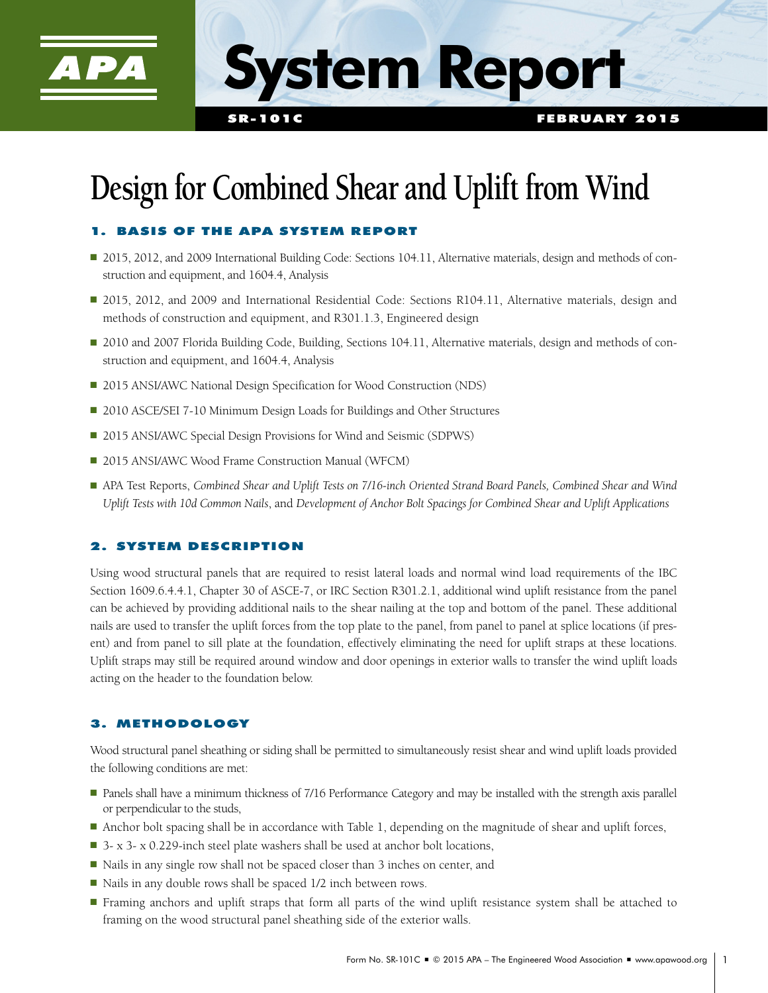

# **System Report**

# **Design for Combined Shear and Uplift from Wind**

# 1. BASIS OF THE APA SYSTEM REPORT

- 2015, 2012, and 2009 International Building Code: Sections 104.11, Alternative materials, design and methods of construction and equipment, and 1604.4, Analysis
- 2015, 2012, and 2009 and International Residential Code: Sections R104.11, Alternative materials, design and methods of construction and equipment, and R301.1.3, Engineered design
- 2010 and 2007 Florida Building Code, Building, Sections 104.11, Alternative materials, design and methods of construction and equipment, and 1604.4, Analysis
- 2015 ANSI/AWC National Design Specification for Wood Construction (NDS)
- 2010 ASCE/SEI 7-10 Minimum Design Loads for Buildings and Other Structures
- 2015 ANSI/AWC Special Design Provisions for Wind and Seismic (SDPWS)
- 2015 ANSI/AWC Wood Frame Construction Manual (WFCM)
- APA Test Reports, *Combined Shear and Uplift Tests on 7/16-inch Oriented Strand Board Panels, Combined Shear and Wind Uplift Tests with 10d Common Nails*, and *Development of Anchor Bolt Spacings for Combined Shear and Uplift Applications*

# **SYSTEM DESCRIPTION**

Using wood structural panels that are required to resist lateral loads and normal wind load requirements of the IBC Section 1609.6.4.4.1, Chapter 30 of ASCE-7, or IRC Section R301.2.1, additional wind uplift resistance from the panel can be achieved by providing additional nails to the shear nailing at the top and bottom of the panel. These additional nails are used to transfer the uplift forces from the top plate to the panel, from panel to panel at splice locations (if present) and from panel to sill plate at the foundation, effectively eliminating the need for uplift straps at these locations. Uplift straps may still be required around window and door openings in exterior walls to transfer the wind uplift loads acting on the header to the foundation below.

# 3. METHODOLOGY

Wood structural panel sheathing or siding shall be permitted to simultaneously resist shear and wind uplift loads provided the following conditions are met:

- Panels shall have a minimum thickness of 7/16 Performance Category and may be installed with the strength axis parallel or perpendicular to the studs,
- Anchor bolt spacing shall be in accordance with Table 1, depending on the magnitude of shear and uplift forces,
- $\blacksquare$  3- x 3- x 0.229-inch steel plate washers shall be used at anchor bolt locations,
- Nails in any single row shall not be spaced closer than 3 inches on center, and
- $\blacksquare$  Nails in any double rows shall be spaced 1/2 inch between rows.
- Framing anchors and uplift straps that form all parts of the wind uplift resistance system shall be attached to framing on the wood structural panel sheathing side of the exterior walls.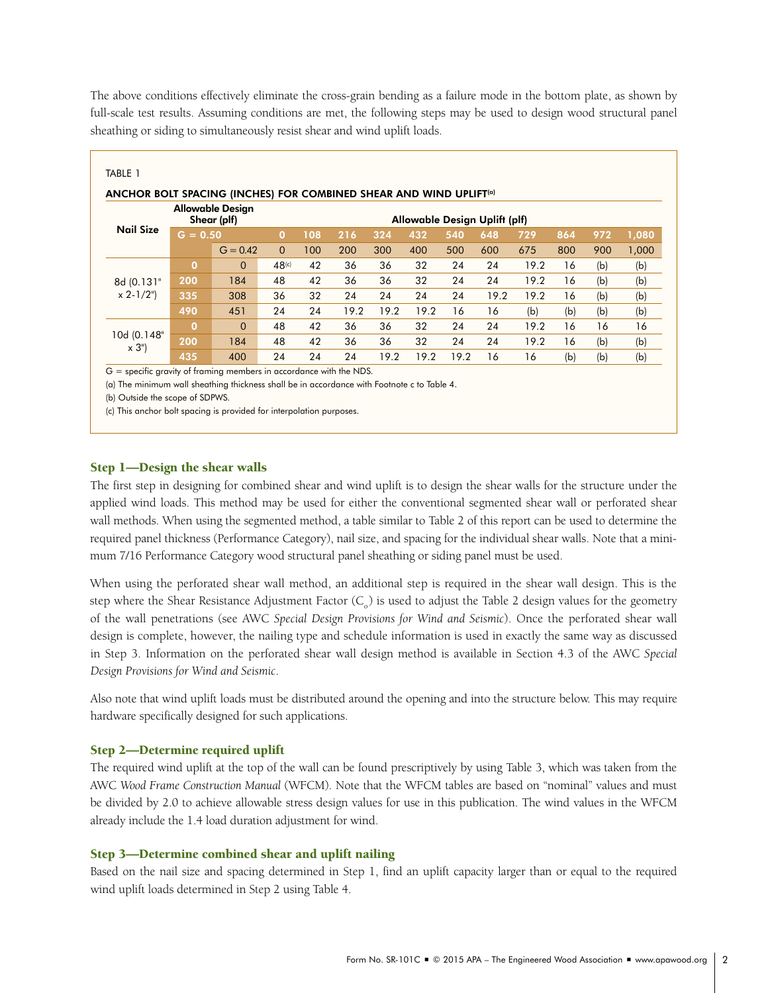The above conditions effectively eliminate the cross-grain bending as a failure mode in the bottom plate, as shown by full-scale test results. Assuming conditions are met, the following steps may be used to design wood structural panel sheathing or siding to simultaneously resist shear and wind uplift loads.

|                             |              | <b>Allowable Design</b> |                   |                               |      | ANCHOR BOLT SPACING (INCHES) FOR COMBINED SHEAR AND WIND UPLIFT <sup>(a)</sup> |      |      |      |      |     |     |       |  |
|-----------------------------|--------------|-------------------------|-------------------|-------------------------------|------|--------------------------------------------------------------------------------|------|------|------|------|-----|-----|-------|--|
| <b>Nail Size</b>            | Shear (plf)  |                         |                   | Allowable Design Uplift (plf) |      |                                                                                |      |      |      |      |     |     |       |  |
|                             | $G = 0.50$   |                         | 0                 | 108                           | 216  | 324                                                                            | 432  | 540  | 648  | 729  | 864 | 972 | 1,080 |  |
|                             |              | $G = 0.42$              | $\Omega$          | 100                           | 200  | 300                                                                            | 400  | 500  | 600  | 675  | 800 | 900 | 1,000 |  |
| 8d (0.131"<br>$x 2 - 1/2$   | $\Omega$     | $\Omega$                | 48 <sup>(c)</sup> | 42                            | 36   | 36                                                                             | 32   | 24   | 24   | 19.2 | 16  | (b) | (b)   |  |
|                             | 200          | 184                     | 48                | 42                            | 36   | 36                                                                             | 32   | 24   | 24   | 19.2 | 16  | (b) | (b)   |  |
|                             | 335          | 308                     | 36                | 32                            | 24   | 24                                                                             | 24   | 24   | 19.2 | 19.2 | 16  | (b) | (b)   |  |
|                             | 490          | 451                     | 24                | 24                            | 19.2 | 19.2                                                                           | 19.2 | 16   | 16   | (b)  | (b) | (b) | (b)   |  |
| 10d (0.148"<br>$\times$ 3") | $\mathbf{0}$ | $\Omega$                | 48                | 42                            | 36   | 36                                                                             | 32   | 24   | 24   | 19.2 | 16  | 16  | 16    |  |
|                             | 200          | 184                     | 48                | 42                            | 36   | 36                                                                             | 32   | 24   | 24   | 19.2 | 16  | (b) | (b)   |  |
|                             | 435          | 400                     | 24                | 24                            | 24   | 19.2                                                                           | 19.2 | 19.2 | 16   | 16   | (b) | (b) | (b)   |  |

(a) The minimum wall sheathing thickness shall be in accordance with Footnote c to Table 4.

(b) Outside the scope of SDPWS.

(c) This anchor bolt spacing is provided for interpolation purposes.

#### Step 1—Design the shear walls

The first step in designing for combined shear and wind uplift is to design the shear walls for the structure under the applied wind loads. This method may be used for either the conventional segmented shear wall or perforated shear wall methods. When using the segmented method, a table similar to Table 2 of this report can be used to determine the required panel thickness (Performance Category), nail size, and spacing for the individual shear walls. Note that a minimum 7/16 Performance Category wood structural panel sheathing or siding panel must be used.

When using the perforated shear wall method, an additional step is required in the shear wall design. This is the step where the Shear Resistance Adjustment Factor  $(C_$ ) is used to adjust the Table 2 design values for the geometry of the wall penetrations (see AWC *Special Design Provisions for Wind and Seismic*). Once the perforated shear wall design is complete, however, the nailing type and schedule information is used in exactly the same way as discussed in Step 3. Information on the perforated shear wall design method is available in Section 4.3 of the AWC *Special Design Provisions for Wind and Seismic*.

Also note that wind uplift loads must be distributed around the opening and into the structure below. This may require hardware specifically designed for such applications.

#### Step 2—Determine required uplift

The required wind uplift at the top of the wall can be found prescriptively by using Table 3, which was taken from the AWC *Wood Frame Construction Manual* (WFCM). Note that the WFCM tables are based on "nominal" values and must be divided by 2.0 to achieve allowable stress design values for use in this publication. The wind values in the WFCM already include the 1.4 load duration adjustment for wind.

#### Step 3—Determine combined shear and uplift nailing

Based on the nail size and spacing determined in Step 1, find an uplift capacity larger than or equal to the required wind uplift loads determined in Step 2 using Table 4.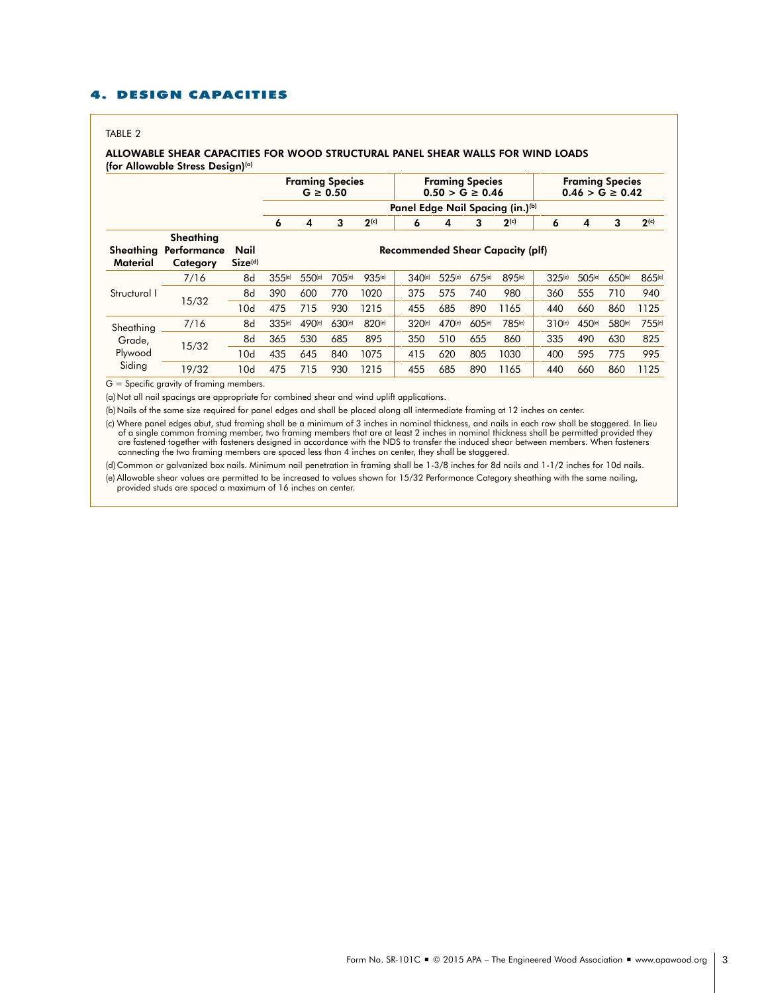#### 4. DESIGN CAPACITIES

#### TABLE 2

#### ALLOWABLE SHEAR CAPACITIES FOR WOOD STRUCTURAL PANEL SHEAR WALLS FOR WIND LOADS (for Allowable Stress Design)(a)

|                                          |                                      |                             | <b>Framing Species</b><br>$G \ge 0.50$  |        |                    |                    | <b>Framing Species</b><br>$0.50 > G \ge 0.46$ |                    |        | <b>Framing Species</b><br>$0.46 > G \ge 0.42$ |                    |        |             |           |
|------------------------------------------|--------------------------------------|-----------------------------|-----------------------------------------|--------|--------------------|--------------------|-----------------------------------------------|--------------------|--------|-----------------------------------------------|--------------------|--------|-------------|-----------|
|                                          |                                      |                             | Panel Edge Nail Spacing (in.)(b)        |        |                    |                    |                                               |                    |        |                                               |                    |        |             |           |
|                                          |                                      |                             | 6                                       | 4      | 3                  | $2^{(c)}$          | 6                                             | 4                  | 3      | 2 <sup>(c)</sup>                              | 6                  | 4      | 3           | $2^{(c)}$ |
| Sheathina<br>Material                    | Sheathing<br>Performance<br>Category | Nail<br>Size <sup>(d)</sup> | <b>Recommended Shear Capacity (plf)</b> |        |                    |                    |                                               |                    |        |                                               |                    |        |             |           |
| Structural I                             | 7/16                                 | 8d                          | $355^{(e)}$                             | 550(e) | 705 <sup>(e)</sup> | 935(e)             | 340 <sup>(e)</sup>                            | 525(e)             | 675(e) | 895(e)                                        | 325 <sup>(e)</sup> | 505(e) | $650^{(e)}$ | 865(e)    |
|                                          | 15/32                                | 8d                          | 390                                     | 600    | 770                | 1020               | 375                                           | 575                | 740    | 980                                           | 360                | 555    | 710         | 940       |
|                                          |                                      | 10d                         | 475                                     | 715    | 930                | 1215               | 455                                           | 685                | 890    | 1165                                          | 440                | 660    | 860         | 1125      |
| Sheathing<br>Grade,<br>Plywood<br>Siding | 7/16                                 | 8d                          | 335 <sup>(e)</sup>                      | 490(e) | $630^{(e)}$        | 820 <sup>(e)</sup> | 320 <sup>(e)</sup>                            | 470 <sup>(e)</sup> | 605(e) | 785(e)                                        | $310^{(e)}$        | 450(e) | 580(e)      | 755(e)    |
|                                          | 15/32                                | 8d                          | 365                                     | 530    | 685                | 895                | 350                                           | 510                | 655    | 860                                           | 335                | 490    | 630         | 825       |
|                                          |                                      | 10d                         | 435                                     | 645    | 840                | 1075               | 415                                           | 620                | 805    | 1030                                          | 400                | 595    | 775         | 995       |
|                                          | 19/32                                | 10d                         | 475                                     | 715    | 930                | 1215               | 455                                           | 685                | 890    | 1165                                          | 440                | 660    | 860         | 1125      |

G = Specific gravity of framing members.

(a)Not all nail spacings are appropriate for combined shear and wind uplift applications.

(b)Nails of the same size required for panel edges and shall be placed along all intermediate framing at 12 inches on center.

(c) Where panel edges abut, stud framing shall be a minimum of 3 inches in nominal thickness, and nails in each row shall be staggered. In lieu of a single common framing member, two framing members that are at least 2 inches in nominal thickness shall be permitted provided they are fastened together with fasteners designed in accordance with the NDS to transfer the induced shear between members. When fasteners connecting the two framing members are spaced less than 4 inches on center, they shall be staggered.

(d)Common or galvanized box nails. Minimum nail penetration in framing shall be 1-3/8 inches for 8d nails and 1-1/2 inches for 10d nails.

(e) Allowable shear values are permitted to be increased to values shown for 15/32 Performance Category sheathing with the same nailing, provided studs are spaced a maximum of 16 inches on center.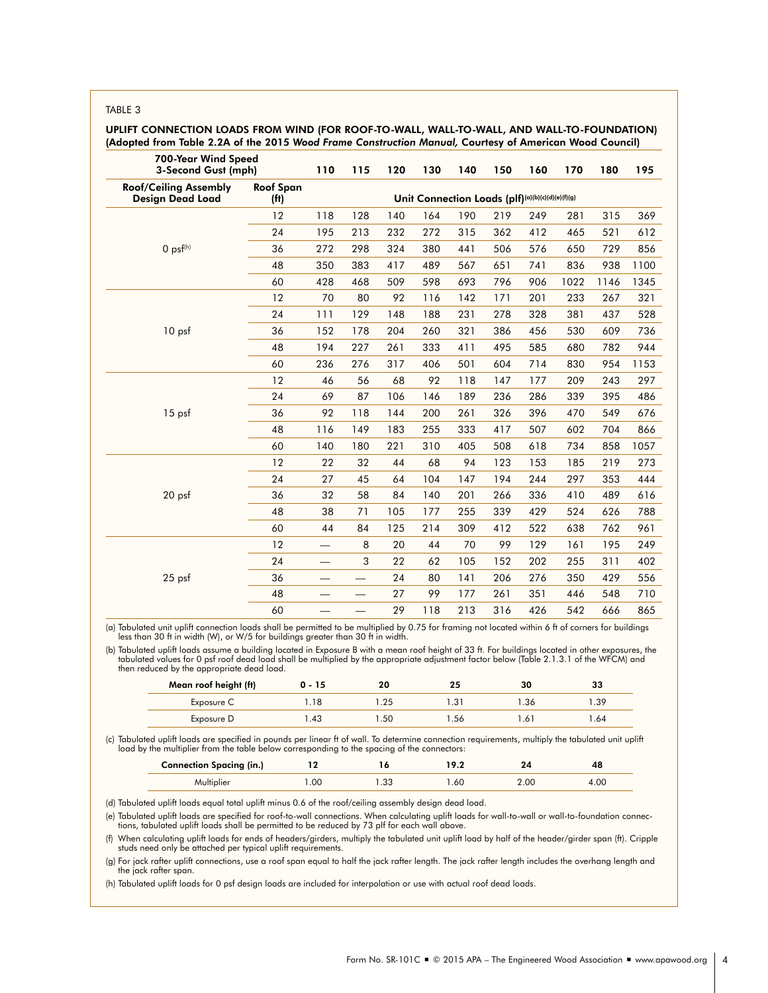#### TABLE 3

#### UPLIFT CONNECTION LOADS FROM WIND (FOR ROOF-TO-WALL, WALL-TO-WALL, AND WALL-TO-FOUNDATION) (Adopted from Table 2.2A of the 2015 *Wood Frame Construction Manual,* Courtesy of American Wood Council)

| 700-Year Wind Speed<br>3-Second Gust (mph)              |                                       | 110                                              | 115 | 120 | 130 | 140 | 150 | 160 | 170  | 180  | 195  |  |  |
|---------------------------------------------------------|---------------------------------------|--------------------------------------------------|-----|-----|-----|-----|-----|-----|------|------|------|--|--|
| <b>Roof/Ceiling Assembly</b><br><b>Design Dead Load</b> | <b>Roof Span</b><br>(f <sup>t</sup> ) | Unit Connection Loads (plf)(a)(b)(c)(d)(e)(f)(g) |     |     |     |     |     |     |      |      |      |  |  |
|                                                         | 12                                    | 118                                              | 128 | 140 | 164 | 190 | 219 | 249 | 281  | 315  | 369  |  |  |
|                                                         | 24                                    | 195                                              | 213 | 232 | 272 | 315 | 362 | 412 | 465  | 521  | 612  |  |  |
| $0$ ps $f^{(h)}$                                        | 36                                    | 272                                              | 298 | 324 | 380 | 441 | 506 | 576 | 650  | 729  | 856  |  |  |
|                                                         | 48                                    | 350                                              | 383 | 417 | 489 | 567 | 651 | 741 | 836  | 938  | 1100 |  |  |
|                                                         | 60                                    | 428                                              | 468 | 509 | 598 | 693 | 796 | 906 | 1022 | 1146 | 1345 |  |  |
|                                                         | 12                                    | 70                                               | 80  | 92  | 116 | 142 | 171 | 201 | 233  | 267  | 321  |  |  |
|                                                         | 24                                    | 111                                              | 129 | 148 | 188 | 231 | 278 | 328 | 381  | 437  | 528  |  |  |
| 10 <sub>psf</sub>                                       | 36                                    | 152                                              | 178 | 204 | 260 | 321 | 386 | 456 | 530  | 609  | 736  |  |  |
|                                                         | 48                                    | 194                                              | 227 | 261 | 333 | 411 | 495 | 585 | 680  | 782  | 944  |  |  |
|                                                         | 60                                    | 236                                              | 276 | 317 | 406 | 501 | 604 | 714 | 830  | 954  | 1153 |  |  |
|                                                         | 12                                    | 46                                               | 56  | 68  | 92  | 118 | 147 | 177 | 209  | 243  | 297  |  |  |
|                                                         | 24                                    | 69                                               | 87  | 106 | 146 | 189 | 236 | 286 | 339  | 395  | 486  |  |  |
| 15 psf                                                  | 36                                    | 92                                               | 118 | 144 | 200 | 261 | 326 | 396 | 470  | 549  | 676  |  |  |
|                                                         | 48                                    | 116                                              | 149 | 183 | 255 | 333 | 417 | 507 | 602  | 704  | 866  |  |  |
|                                                         | 60                                    | 140                                              | 180 | 221 | 310 | 405 | 508 | 618 | 734  | 858  | 1057 |  |  |
|                                                         | 12                                    | 22                                               | 32  | 44  | 68  | 94  | 123 | 153 | 185  | 219  | 273  |  |  |
|                                                         | 24                                    | 27                                               | 45  | 64  | 104 | 147 | 194 | 244 | 297  | 353  | 444  |  |  |
| 20 psf                                                  | 36                                    | 32                                               | 58  | 84  | 140 | 201 | 266 | 336 | 410  | 489  | 616  |  |  |
|                                                         | 48                                    | 38                                               | 71  | 105 | 177 | 255 | 339 | 429 | 524  | 626  | 788  |  |  |
|                                                         | 60                                    | 44                                               | 84  | 125 | 214 | 309 | 412 | 522 | 638  | 762  | 961  |  |  |
|                                                         | 12                                    | $\overline{\phantom{0}}$                         | 8   | 20  | 44  | 70  | 99  | 129 | 161  | 195  | 249  |  |  |
|                                                         | 24                                    | $\overline{\phantom{0}}$                         | 3   | 22  | 62  | 105 | 152 | 202 | 255  | 311  | 402  |  |  |
| 25 psf                                                  | 36                                    |                                                  |     | 24  | 80  | 141 | 206 | 276 | 350  | 429  | 556  |  |  |
|                                                         | 48                                    | —                                                |     | 27  | 99  | 177 | 261 | 351 | 446  | 548  | 710  |  |  |
|                                                         | 60                                    |                                                  |     | 29  | 118 | 213 | 316 | 426 | 542  | 666  | 865  |  |  |

(a) Tabulated unit uplift connection loads shall be permitted to be multiplied by 0.75 for framing not located within 6 ft of corners for buildings less than 30 ft in width (W), or W/5 for buildings greater than 30 ft in width.

(b) Tabulated uplift loads assume a building located in Exposure B with a mean roof height of 33 ft. For buildings located in other exposures, the tabulated values for 0 psf roof dead load shall be multiplied by the appropriate adjustment factor below (Table 2.1.3.1 of the WFCM) and then reduced by the appropriate dead load.

| Mean roof height (ft) | 0 - 15 | 20  | 25           | 30  | 33    |
|-----------------------|--------|-----|--------------|-----|-------|
| Exposure C            | .18    | .25 | $.3^{\circ}$ | .36 | 39. ا |
| Exposure D            | .43    | .50 | .56          |     | . .64 |

(c) Tabulated uplift loads are specified in pounds per linear ft of wall. To determine connection requirements, multiply the tabulated unit uplift load by the multiplier from the table below corresponding to the spacing of the connectors:

| <b>Connection Spacing (in.)</b> |     |        | 7.4 |      | 48   |
|---------------------------------|-----|--------|-----|------|------|
| Multiplier                      | .00 | $\sim$ | .60 | 2.00 | 4.OC |

(d) Tabulated uplift loads equal total uplift minus 0.6 of the roof/ceiling assembly design dead load.

(e) Tabulated uplift loads are specified for roof-to-wall connections. When calculating uplift loads for wall-to-wall or wall-to-foundation connections, tabulated uplift loads shall be permitted to be reduced by 73 plf for each wall above.

(f) When calculating uplift loads for ends of headers/girders, multiply the tabulated unit uplift load by half of the header/girder span (ft). Cripple studs need only be attached per typical uplift requirements.

(g) For jack rafter uplift connections, use a roof span equal to half the jack rafter length. The jack rafter length includes the overhang length and the jack rafter span.

(h) Tabulated uplift loads for 0 psf design loads are included for interpolation or use with actual roof dead loads.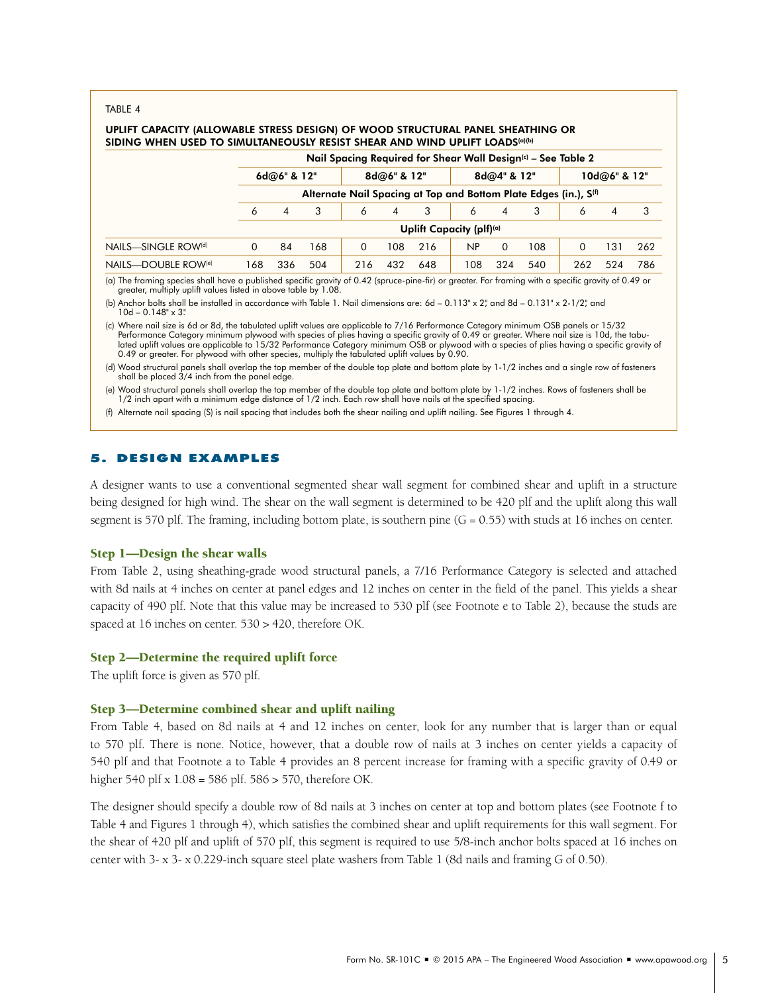#### TABLE 4

# UPLIFT CAPACITY (ALLOWABLE STRESS DESIGN) OF WOOD STRUCTURAL PANEL SHEATHING OR SIDING WHEN USED TO SIMULTANEOUSLY RESIST SHEAR AND WIND UPLIFT LOADS(a)(b) Nail Spacing Required for Shear Wall Design(c) - See Table 2 6d@6" & 12" 8d@6" & 12" 8d@4" & 12" 10d@6" & 12" Alternate Nail Spacing at Top and Bottom Plate Edges (in.), S<sup>(f)</sup> 6 4 3 6 4 3 6 4 3 6 4 3 Uplift Capacity (plf)<sup>(a)</sup> NAILS—SINGLE ROW<sup>(d)</sup> 0 84 168 0 108 216 NP 0 108 0 131 262 NAILS—DOUBLE ROW<sup>(e)</sup> 168 336 504 216 432 648 108 324 540 262 524 786

(a) The framing species shall have a published specific gravity of 0.42 (spruce-pine-fir) or greater. For framing with a specific gravity of 0.49 or greater, multiply uplift values listed in above table by 1.08.

(b) Anchor bolts shall be installed in accordance with Table 1. Nail dimensions are: 6d – 0.113" x 2," and 8d – 0.131" x 2-1/2," and  $10d - 0.148" \times 3$ .

(c) Where nail size is 6d or 8d, the tabulated uplift values are applicable to 7/16 Performance Category minimum OSB panels or 15/32 Performance Category minimum plywood with species of plies having a specific gravity of 0.49 or greater. Where nail size is 10d, the tabu-<br>lated uplift values are applicable to 15/32 Performance Category minimum OSB or ply 0.49 or greater. For plywood with other species, multiply the tabulated uplift values by 0.90.

(d) Wood structural panels shall overlap the top member of the double top plate and bottom plate by 1-1/2 inches and a single row of fasteners shall be placed 3/4 inch from the panel edge.

(e) Wood structural panels shall overlap the top member of the double top plate and bottom plate by 1-1/2 inches. Rows of fasteners shall be 1/2 inch apart with a minimum edge distance of 1/2 inch. Each row shall have nails at the specified spacing.

(f) Alternate nail spacing (S) is nail spacing that includes both the shear nailing and uplift nailing. See Figures 1 through 4.

#### 5. DESIGN EXAMPLES

A designer wants to use a conventional segmented shear wall segment for combined shear and uplift in a structure being designed for high wind. The shear on the wall segment is determined to be 420 plf and the uplift along this wall segment is 570 plf. The framing, including bottom plate, is southern pine  $(G = 0.55)$  with studs at 16 inches on center.

#### Step 1—Design the shear walls

From Table 2, using sheathing-grade wood structural panels, a 7/16 Performance Category is selected and attached with 8d nails at 4 inches on center at panel edges and 12 inches on center in the field of the panel. This yields a shear capacity of 490 plf. Note that this value may be increased to 530 plf (see Footnote e to Table 2), because the studs are spaced at 16 inches on center. 530 > 420, therefore OK.

#### Step 2—Determine the required uplift force

The uplift force is given as 570 plf.

#### Step 3—Determine combined shear and uplift nailing

From Table 4, based on 8d nails at 4 and 12 inches on center, look for any number that is larger than or equal to 570 plf. There is none. Notice, however, that a double row of nails at 3 inches on center yields a capacity of 540 plf and that Footnote a to Table 4 provides an 8 percent increase for framing with a specific gravity of 0.49 or higher 540 plf x 1.08 = 586 plf. 586 > 570, therefore OK.

The designer should specify a double row of 8d nails at 3 inches on center at top and bottom plates (see Footnote f to Table 4 and Figures 1 through 4), which satisfies the combined shear and uplift requirements for this wall segment. For the shear of 420 plf and uplift of 570 plf, this segment is required to use 5/8-inch anchor bolts spaced at 16 inches on center with 3- x 3- x 0.229-inch square steel plate washers from Table 1 (8d nails and framing G of 0.50).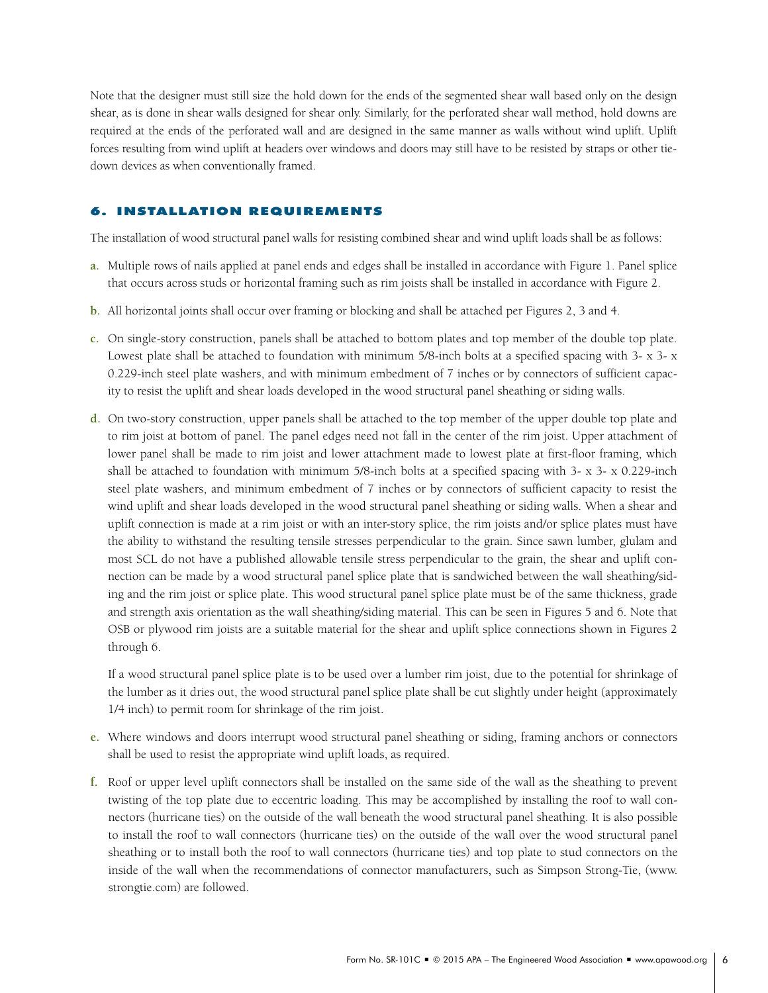Note that the designer must still size the hold down for the ends of the segmented shear wall based only on the design shear, as is done in shear walls designed for shear only. Similarly, for the perforated shear wall method, hold downs are required at the ends of the perforated wall and are designed in the same manner as walls without wind uplift. Uplift forces resulting from wind uplift at headers over windows and doors may still have to be resisted by straps or other tiedown devices as when conventionally framed.

### 6. INSTALLATION REQUIREMENTS

The installation of wood structural panel walls for resisting combined shear and wind uplift loads shall be as follows:

- **a.** Multiple rows of nails applied at panel ends and edges shall be installed in accordance with Figure 1. Panel splice that occurs across studs or horizontal framing such as rim joists shall be installed in accordance with Figure 2.
- **b.** All horizontal joints shall occur over framing or blocking and shall be attached per Figures 2, 3 and 4.
- **c.** On single-story construction, panels shall be attached to bottom plates and top member of the double top plate. Lowest plate shall be attached to foundation with minimum 5/8-inch bolts at a specified spacing with 3- x 3- x 0.229-inch steel plate washers, and with minimum embedment of 7 inches or by connectors of sufficient capacity to resist the uplift and shear loads developed in the wood structural panel sheathing or siding walls.
- **d.** On two-story construction, upper panels shall be attached to the top member of the upper double top plate and to rim joist at bottom of panel. The panel edges need not fall in the center of the rim joist. Upper attachment of lower panel shall be made to rim joist and lower attachment made to lowest plate at first-floor framing, which shall be attached to foundation with minimum 5/8-inch bolts at a specified spacing with 3- x 3- x 0.229-inch steel plate washers, and minimum embedment of 7 inches or by connectors of sufficient capacity to resist the wind uplift and shear loads developed in the wood structural panel sheathing or siding walls. When a shear and uplift connection is made at a rim joist or with an inter-story splice, the rim joists and/or splice plates must have the ability to withstand the resulting tensile stresses perpendicular to the grain. Since sawn lumber, glulam and most SCL do not have a published allowable tensile stress perpendicular to the grain, the shear and uplift connection can be made by a wood structural panel splice plate that is sandwiched between the wall sheathing/siding and the rim joist or splice plate. This wood structural panel splice plate must be of the same thickness, grade and strength axis orientation as the wall sheathing/siding material. This can be seen in Figures 5 and 6. Note that OSB or plywood rim joists are a suitable material for the shear and uplift splice connections shown in Figures 2 through 6.

 If a wood structural panel splice plate is to be used over a lumber rim joist, due to the potential for shrinkage of the lumber as it dries out, the wood structural panel splice plate shall be cut slightly under height (approximately 1/4 inch) to permit room for shrinkage of the rim joist.

- **e.** Where windows and doors interrupt wood structural panel sheathing or siding, framing anchors or connectors shall be used to resist the appropriate wind uplift loads, as required.
- **f.** Roof or upper level uplift connectors shall be installed on the same side of the wall as the sheathing to prevent twisting of the top plate due to eccentric loading. This may be accomplished by installing the roof to wall connectors (hurricane ties) on the outside of the wall beneath the wood structural panel sheathing. It is also possible to install the roof to wall connectors (hurricane ties) on the outside of the wall over the wood structural panel sheathing or to install both the roof to wall connectors (hurricane ties) and top plate to stud connectors on the inside of the wall when the recommendations of connector manufacturers, such as Simpson Strong-Tie, [\(www.](http://www.strongtie.com) [strongtie.com](http://www.strongtie.com)) are followed.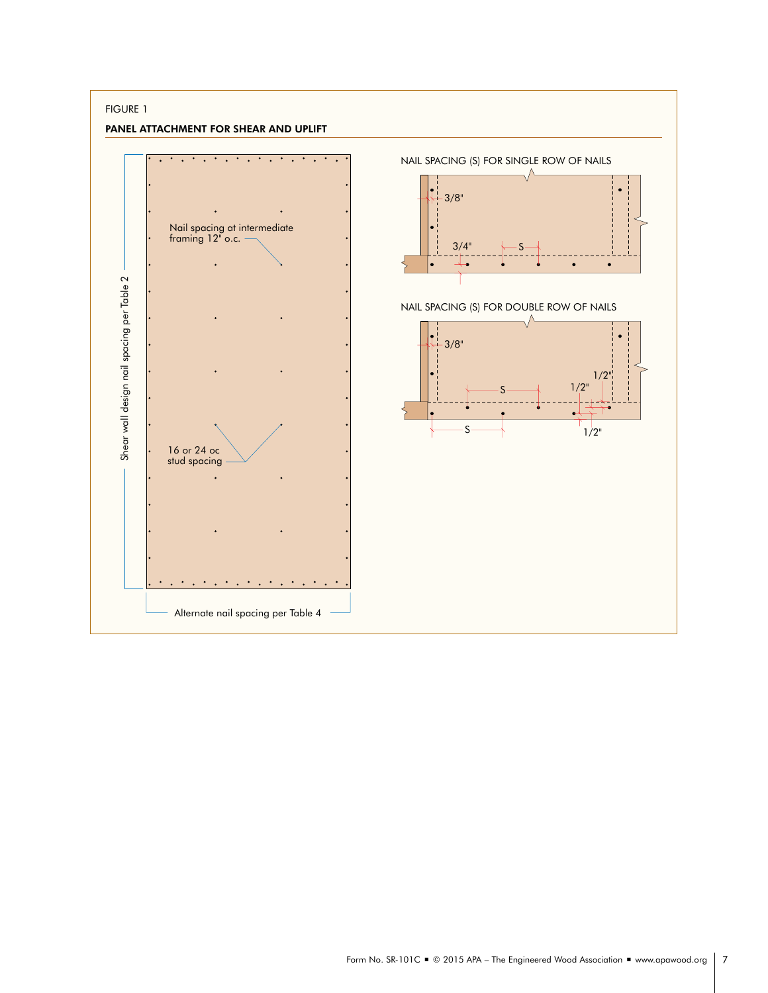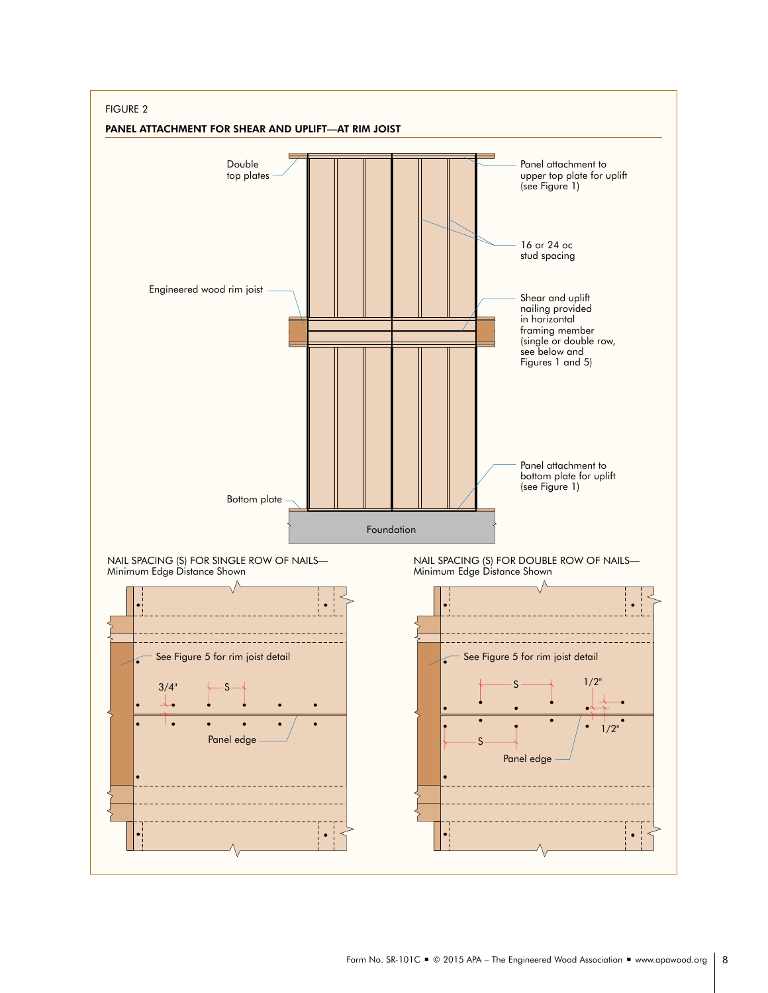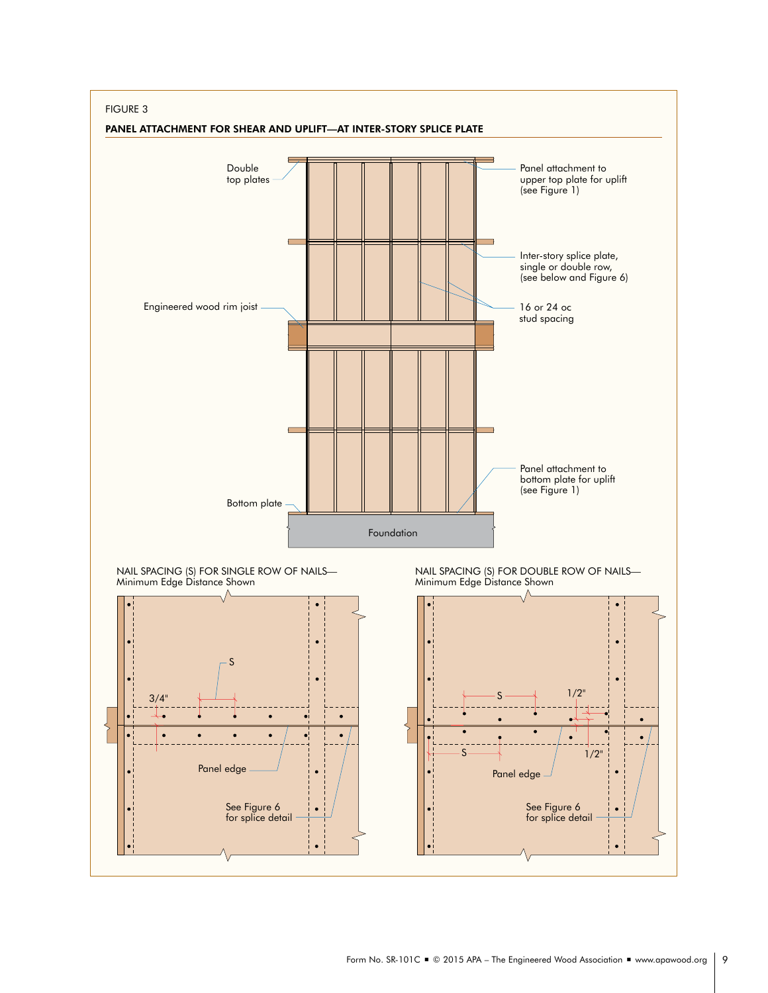![](_page_8_Figure_0.jpeg)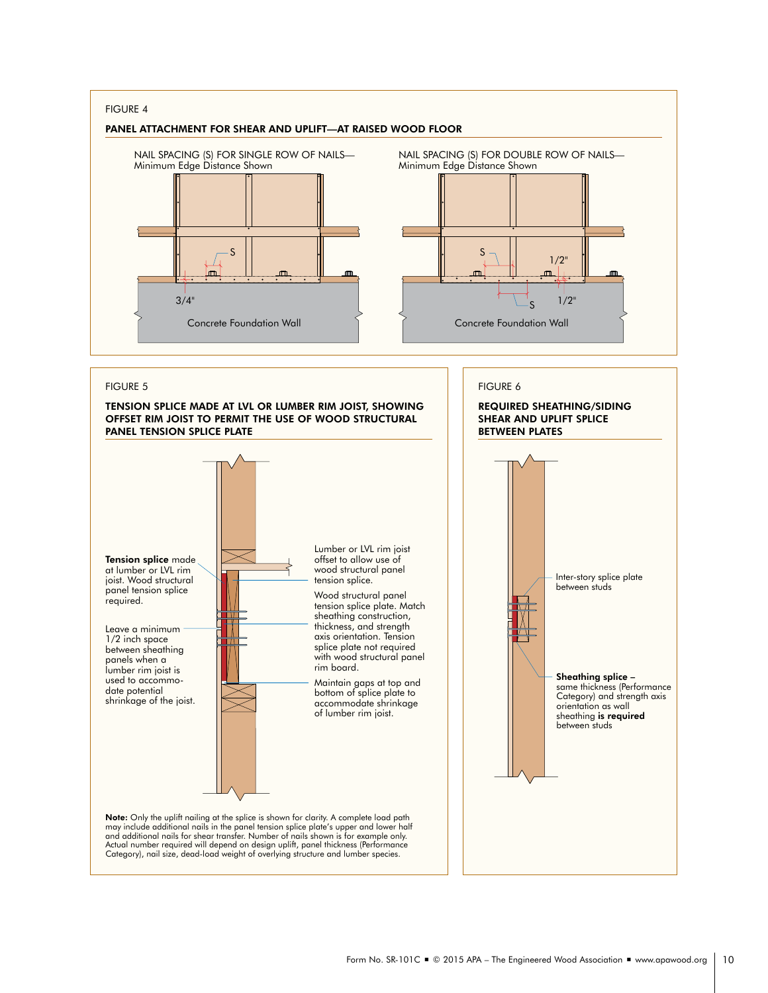![](_page_9_Figure_0.jpeg)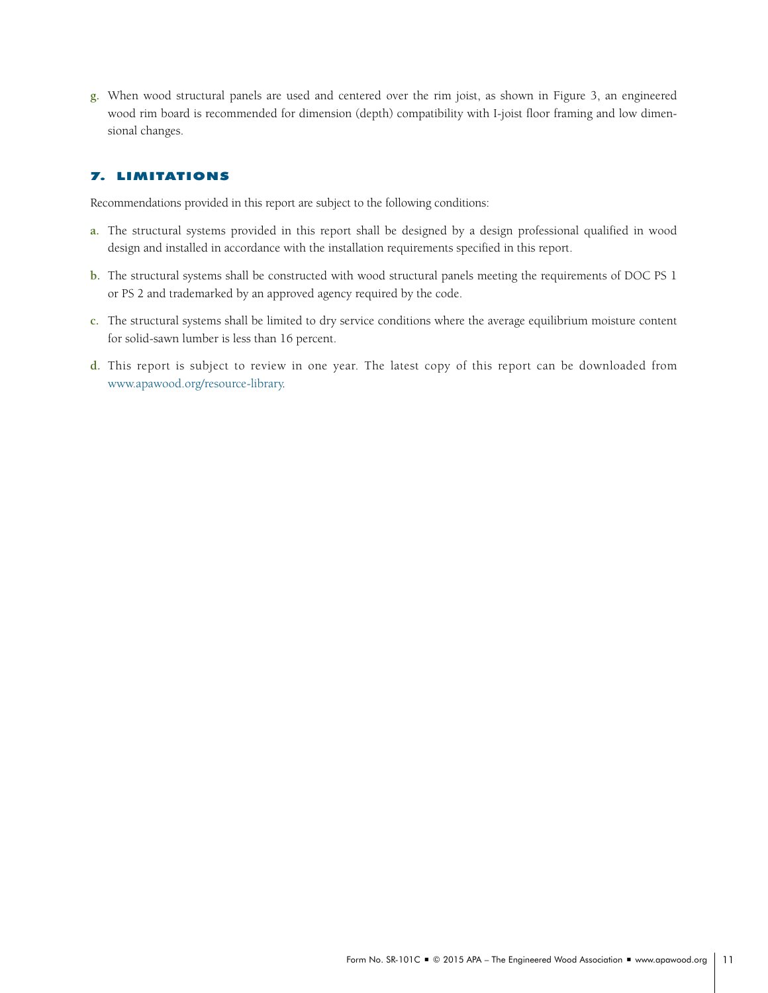**g.** When wood structural panels are used and centered over the rim joist, as shown in Figure 3, an engineered wood rim board is recommended for dimension (depth) compatibility with I-joist floor framing and low dimensional changes.

# 7. LIMITATIONS

Recommendations provided in this report are subject to the following conditions:

- **a.** The structural systems provided in this report shall be designed by a design professional qualified in wood design and installed in accordance with the installation requirements specified in this report.
- **b**. The structural systems shall be constructed with wood structural panels meeting the requirements of DOC PS 1 or PS 2 and trademarked by an approved agency required by the code.
- **c.** The structural systems shall be limited to dry service conditions where the average equilibrium moisture content for solid-sawn lumber is less than 16 percent.
- **d.** This report is subject to review in one year. The latest copy of this report can be downloaded from [www.apawood.org/resource-library](http://www.apawood.org/resource-library).